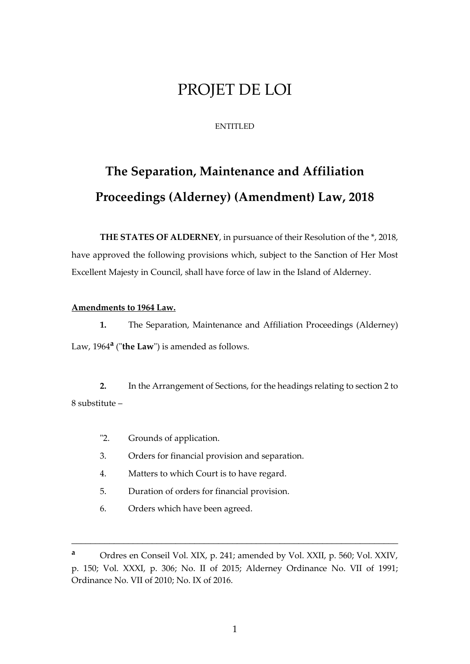## PROJET DE LOI

## ENTITLED

# **The Separation, Maintenance and Affiliation Proceedings (Alderney) (Amendment) Law, 2018**

**THE STATES OF ALDERNEY**, in pursuance of their Resolution of the \*, 2018, have approved the following provisions which, subject to the Sanction of Her Most Excellent Majesty in Council, shall have force of law in the Island of Alderney.

#### **Amendments to 1964 Law.**

**1.** The Separation, Maintenance and Affiliation Proceedings (Alderney) Law, 1964**<sup>a</sup>** ("**the Law**") is amended as follows.

**2.** In the Arrangement of Sections, for the headings relating to section 2 to 8 substitute –

- "2. Grounds of application.
- 3. Orders for financial provision and separation.
- 4. Matters to which Court is to have regard.
- 5. Duration of orders for financial provision.
- 6. Orders which have been agreed.

\_\_\_\_\_\_\_\_\_\_\_\_\_\_\_\_\_\_\_\_\_\_\_\_\_\_\_\_\_\_\_\_\_\_\_\_\_\_\_\_\_\_\_\_\_\_\_\_\_\_\_\_\_\_\_\_\_\_\_\_\_\_\_\_\_\_\_\_\_

**<sup>a</sup>** Ordres en Conseil Vol. XIX, p. 241; amended by Vol. XXII, p. 560; Vol. XXIV, p. 150; Vol. XXXI, p. 306; No. II of 2015; Alderney Ordinance No. VII of 1991; Ordinance No. VII of 2010; No. IX of 2016.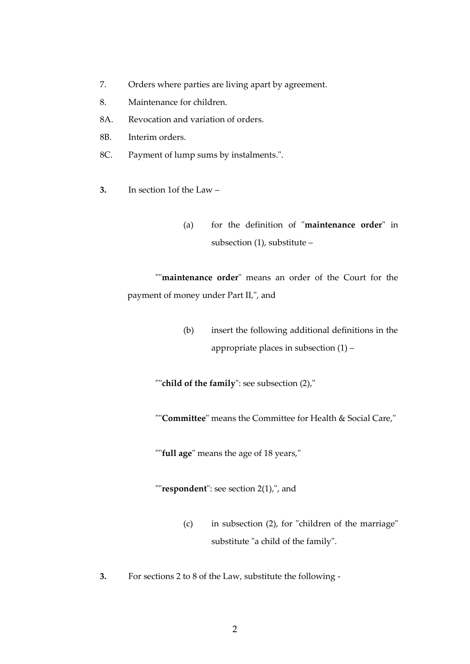- 7. Orders where parties are living apart by agreement.
- 8. Maintenance for children.
- 8A. Revocation and variation of orders.
- 8B. Interim orders.
- 8C. Payment of lump sums by instalments.".
- **3.** In section 1of the Law
	- (a) for the definition of "**maintenance order**" in subsection (1), substitute –

""**maintenance order**" means an order of the Court for the payment of money under Part II,", and

> (b) insert the following additional definitions in the appropriate places in subsection (1) –

""**child of the family**": see subsection (2),"

""**Committee**" means the Committee for Health & Social Care,"

""**full age**" means the age of 18 years,"

""**respondent**": see section 2(1),", and

- (c) in subsection (2), for "children of the marriage" substitute "a child of the family".
- **3.** For sections 2 to 8 of the Law, substitute the following -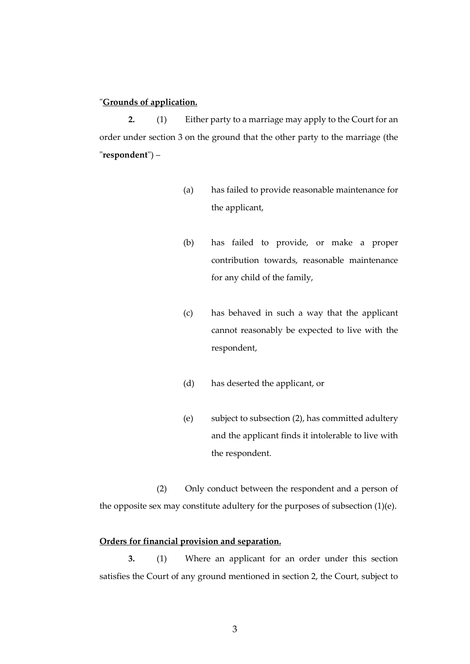## "**Grounds of application.**

**2.** (1) Either party to a marriage may apply to the Court for an order under section 3 on the ground that the other party to the marriage (the "**respondent**") –

- (a) has failed to provide reasonable maintenance for the applicant,
- (b) has failed to provide, or make a proper contribution towards, reasonable maintenance for any child of the family,
- (c) has behaved in such a way that the applicant cannot reasonably be expected to live with the respondent,
- (d) has deserted the applicant, or
- (e) subject to subsection (2), has committed adultery and the applicant finds it intolerable to live with the respondent.

(2) Only conduct between the respondent and a person of the opposite sex may constitute adultery for the purposes of subsection (1)(e).

#### **Orders for financial provision and separation.**

**3.** (1) Where an applicant for an order under this section satisfies the Court of any ground mentioned in section 2, the Court, subject to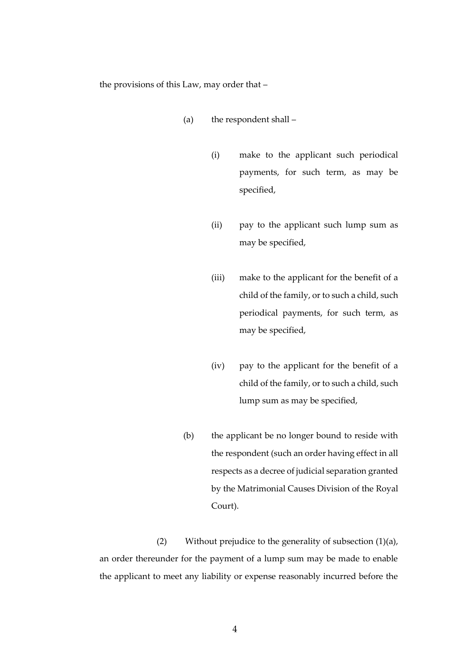the provisions of this Law, may order that –

- (a) the respondent shall
	- (i) make to the applicant such periodical payments, for such term, as may be specified,
	- (ii) pay to the applicant such lump sum as may be specified,
	- (iii) make to the applicant for the benefit of a child of the family, or to such a child, such periodical payments, for such term, as may be specified,
	- (iv) pay to the applicant for the benefit of a child of the family, or to such a child, such lump sum as may be specified,
- (b) the applicant be no longer bound to reside with the respondent (such an order having effect in all respects as a decree of judicial separation granted by the Matrimonial Causes Division of the Royal Court).

(2) Without prejudice to the generality of subsection (1)(a), an order thereunder for the payment of a lump sum may be made to enable the applicant to meet any liability or expense reasonably incurred before the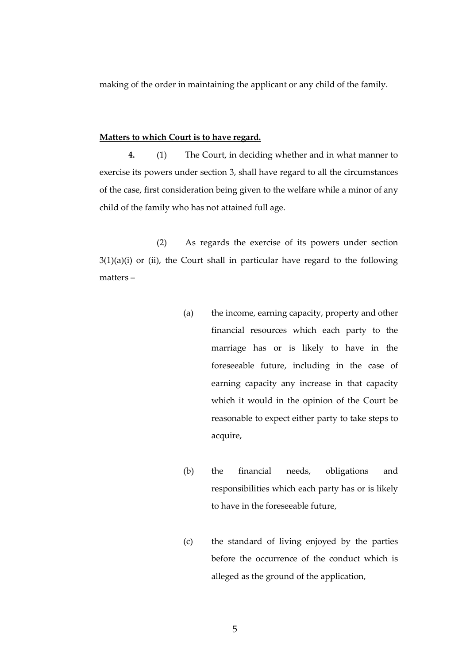making of the order in maintaining the applicant or any child of the family.

#### **Matters to which Court is to have regard.**

**4.** (1) The Court, in deciding whether and in what manner to exercise its powers under section 3, shall have regard to all the circumstances of the case, first consideration being given to the welfare while a minor of any child of the family who has not attained full age.

(2) As regards the exercise of its powers under section  $3(1)(a)(i)$  or (ii), the Court shall in particular have regard to the following matters –

- (a) the income, earning capacity, property and other financial resources which each party to the marriage has or is likely to have in the foreseeable future, including in the case of earning capacity any increase in that capacity which it would in the opinion of the Court be reasonable to expect either party to take steps to acquire,
- (b) the financial needs, obligations and responsibilities which each party has or is likely to have in the foreseeable future,
- (c) the standard of living enjoyed by the parties before the occurrence of the conduct which is alleged as the ground of the application,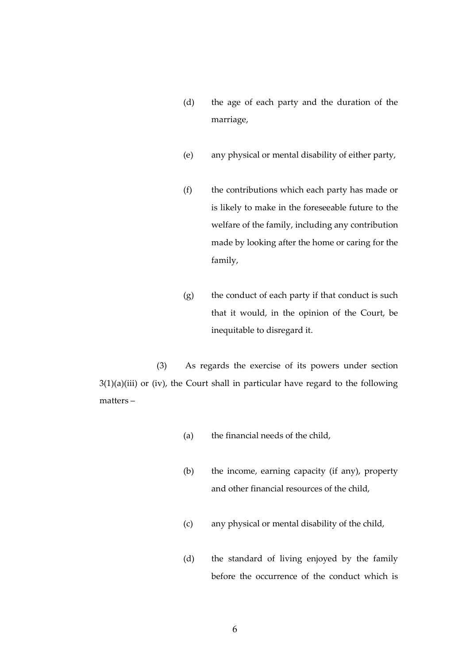- (d) the age of each party and the duration of the marriage,
- (e) any physical or mental disability of either party,
- (f) the contributions which each party has made or is likely to make in the foreseeable future to the welfare of the family, including any contribution made by looking after the home or caring for the family,
- (g) the conduct of each party if that conduct is such that it would, in the opinion of the Court, be inequitable to disregard it.

(3) As regards the exercise of its powers under section  $3(1)(a)(iii)$  or (iv), the Court shall in particular have regard to the following matters –

- (a) the financial needs of the child,
- (b) the income, earning capacity (if any), property and other financial resources of the child,
- (c) any physical or mental disability of the child,
- (d) the standard of living enjoyed by the family before the occurrence of the conduct which is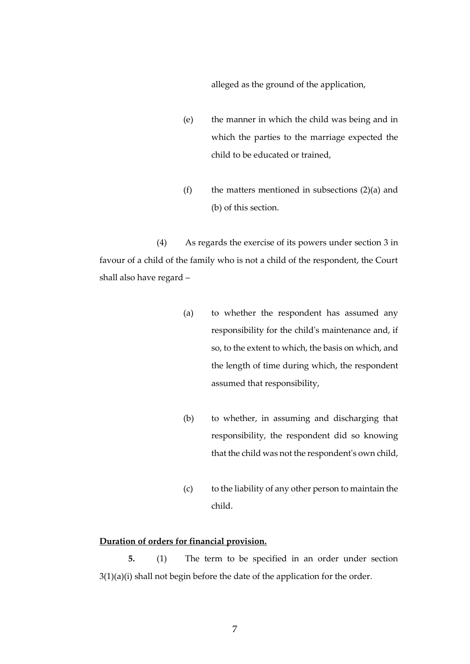alleged as the ground of the application,

- (e) the manner in which the child was being and in which the parties to the marriage expected the child to be educated or trained,
- (f) the matters mentioned in subsections  $(2)(a)$  and (b) of this section.

(4) As regards the exercise of its powers under section 3 in favour of a child of the family who is not a child of the respondent, the Court shall also have regard –

- (a) to whether the respondent has assumed any responsibility for the child's maintenance and, if so, to the extent to which, the basis on which, and the length of time during which, the respondent assumed that responsibility,
- (b) to whether, in assuming and discharging that responsibility, the respondent did so knowing that the child was not the respondent's own child,
- (c) to the liability of any other person to maintain the child.

## **Duration of orders for financial provision.**

**5.** (1) The term to be specified in an order under section 3(1)(a)(i) shall not begin before the date of the application for the order.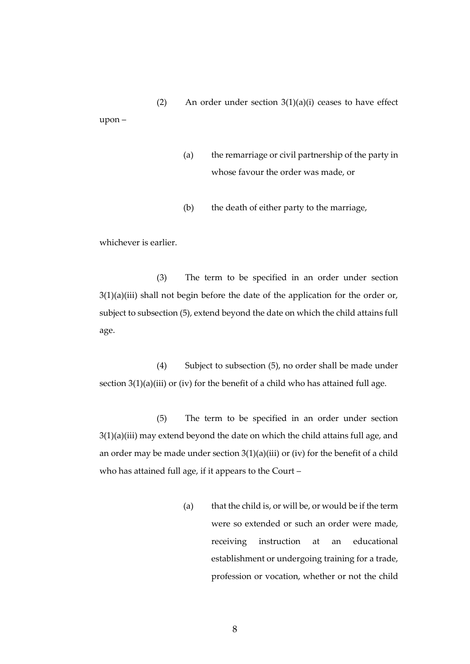(2) An order under section  $3(1)(a)(i)$  ceases to have effect upon –

- (a) the remarriage or civil partnership of the party in whose favour the order was made, or
- (b) the death of either party to the marriage,

whichever is earlier.

(3) The term to be specified in an order under section 3(1)(a)(iii) shall not begin before the date of the application for the order or, subject to subsection (5), extend beyond the date on which the child attains full age.

(4) Subject to subsection (5), no order shall be made under section 3(1)(a)(iii) or (iv) for the benefit of a child who has attained full age.

(5) The term to be specified in an order under section 3(1)(a)(iii) may extend beyond the date on which the child attains full age, and an order may be made under section  $3(1)(a)(iii)$  or (iv) for the benefit of a child who has attained full age, if it appears to the Court –

> (a) that the child is, or will be, or would be if the term were so extended or such an order were made, receiving instruction at an educational establishment or undergoing training for a trade, profession or vocation, whether or not the child

> > 8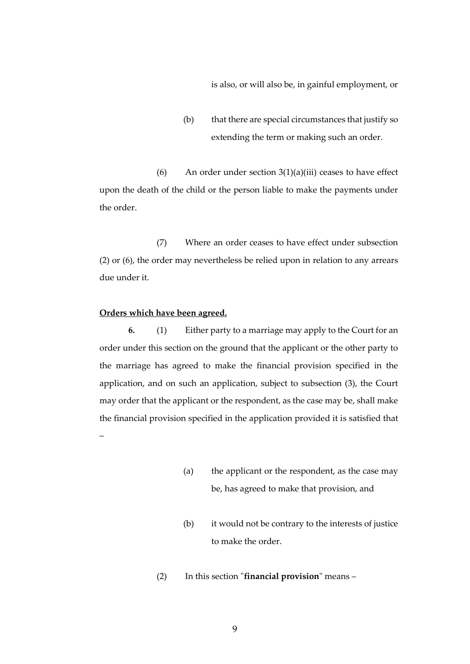is also, or will also be, in gainful employment, or

(b) that there are special circumstances that justify so extending the term or making such an order.

(6) An order under section  $3(1)(a)(iii)$  ceases to have effect upon the death of the child or the person liable to make the payments under the order.

(7) Where an order ceases to have effect under subsection (2) or (6), the order may nevertheless be relied upon in relation to any arrears due under it.

#### **Orders which have been agreed.**

–

**6.** (1) Either party to a marriage may apply to the Court for an order under this section on the ground that the applicant or the other party to the marriage has agreed to make the financial provision specified in the application, and on such an application, subject to subsection (3), the Court may order that the applicant or the respondent, as the case may be, shall make the financial provision specified in the application provided it is satisfied that

- (a) the applicant or the respondent, as the case may be, has agreed to make that provision, and
- (b) it would not be contrary to the interests of justice to make the order.
- (2) In this section "**financial provision**" means –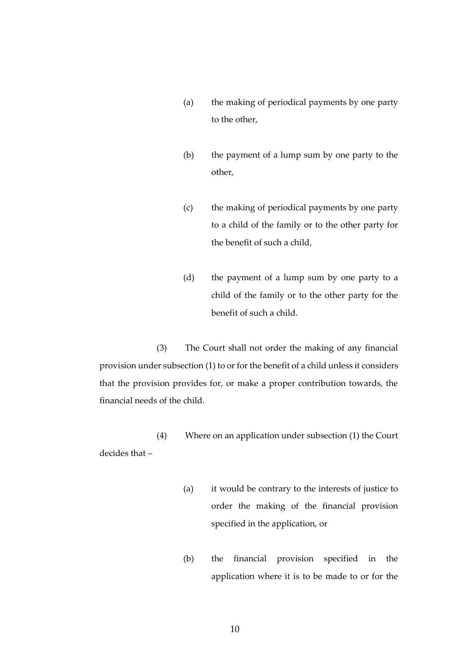- (a) the making of periodical payments by one party to the other,
- (b) the payment of a lump sum by one party to the other,
- (c) the making of periodical payments by one party to a child of the family or to the other party for the benefit of such a child,
- (d) the payment of a lump sum by one party to a child of the family or to the other party for the benefit of such a child.

(3) The Court shall not order the making of any financial provision under subsection (1) to or for the benefit of a child unless it considers that the provision provides for, or make a proper contribution towards, the financial needs of the child.

(4) Where on an application under subsection (1) the Court decides that –

- (a) it would be contrary to the interests of justice to order the making of the financial provision specified in the application, or
- (b) the financial provision specified in the application where it is to be made to or for the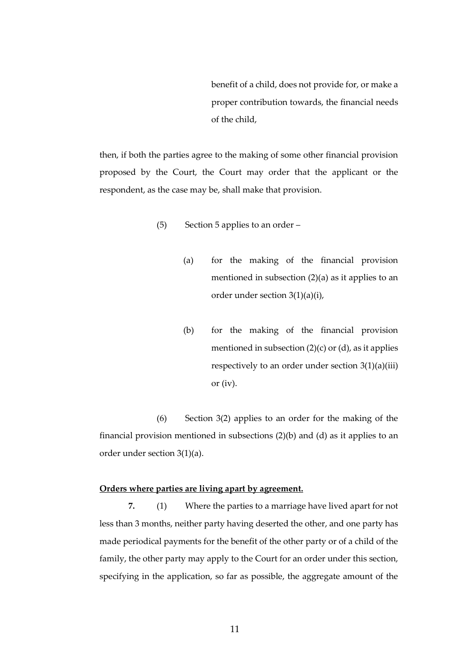benefit of a child, does not provide for, or make a proper contribution towards, the financial needs of the child,

then, if both the parties agree to the making of some other financial provision proposed by the Court, the Court may order that the applicant or the respondent, as the case may be, shall make that provision.

- (5) Section 5 applies to an order
	- (a) for the making of the financial provision mentioned in subsection (2)(a) as it applies to an order under section 3(1)(a)(i),
	- (b) for the making of the financial provision mentioned in subsection  $(2)(c)$  or  $(d)$ , as it applies respectively to an order under section 3(1)(a)(iii) or (iv).

(6) Section 3(2) applies to an order for the making of the financial provision mentioned in subsections (2)(b) and (d) as it applies to an order under section 3(1)(a).

#### **Orders where parties are living apart by agreement.**

**7.** (1) Where the parties to a marriage have lived apart for not less than 3 months, neither party having deserted the other, and one party has made periodical payments for the benefit of the other party or of a child of the family, the other party may apply to the Court for an order under this section, specifying in the application, so far as possible, the aggregate amount of the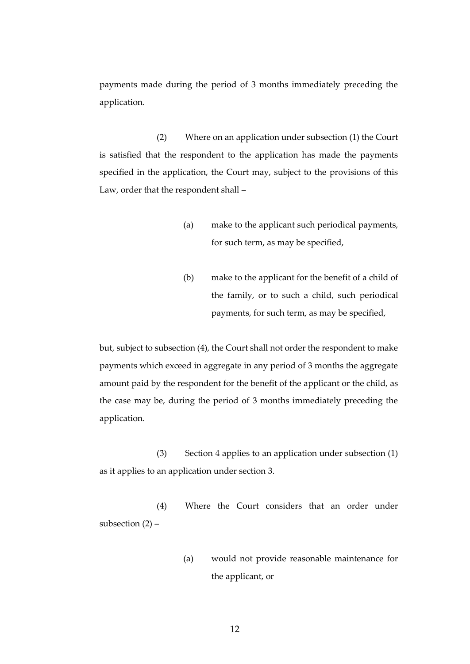payments made during the period of 3 months immediately preceding the application.

(2) Where on an application under subsection (1) the Court is satisfied that the respondent to the application has made the payments specified in the application, the Court may, subject to the provisions of this Law, order that the respondent shall –

- (a) make to the applicant such periodical payments, for such term, as may be specified,
- (b) make to the applicant for the benefit of a child of the family, or to such a child, such periodical payments, for such term, as may be specified,

but, subject to subsection (4), the Court shall not order the respondent to make payments which exceed in aggregate in any period of 3 months the aggregate amount paid by the respondent for the benefit of the applicant or the child, as the case may be, during the period of 3 months immediately preceding the application.

(3) Section 4 applies to an application under subsection (1) as it applies to an application under section 3.

(4) Where the Court considers that an order under subsection  $(2)$  –

> (a) would not provide reasonable maintenance for the applicant, or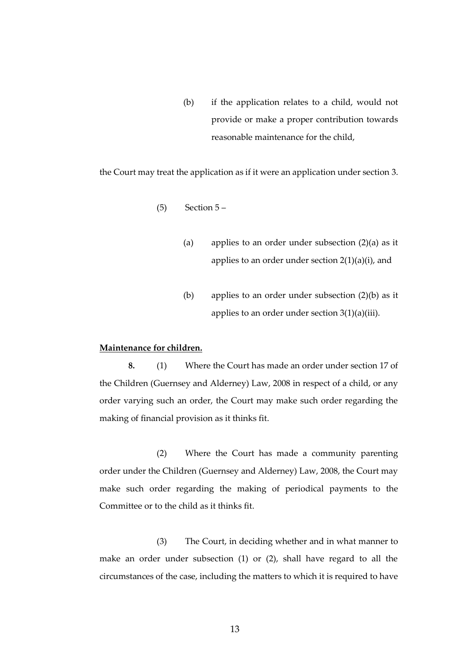(b) if the application relates to a child, would not provide or make a proper contribution towards reasonable maintenance for the child,

the Court may treat the application as if it were an application under section 3.

- $(5)$  Section  $5-$ 
	- (a) applies to an order under subsection  $(2)(a)$  as it applies to an order under section  $2(1)(a)(i)$ , and
	- (b) applies to an order under subsection (2)(b) as it applies to an order under section 3(1)(a)(iii).

#### **Maintenance for children.**

**8.** (1) Where the Court has made an order under section 17 of the Children (Guernsey and Alderney) Law, 2008 in respect of a child, or any order varying such an order, the Court may make such order regarding the making of financial provision as it thinks fit.

(2) Where the Court has made a community parenting order under the Children (Guernsey and Alderney) Law, 2008, the Court may make such order regarding the making of periodical payments to the Committee or to the child as it thinks fit.

(3) The Court, in deciding whether and in what manner to make an order under subsection (1) or (2), shall have regard to all the circumstances of the case, including the matters to which it is required to have

13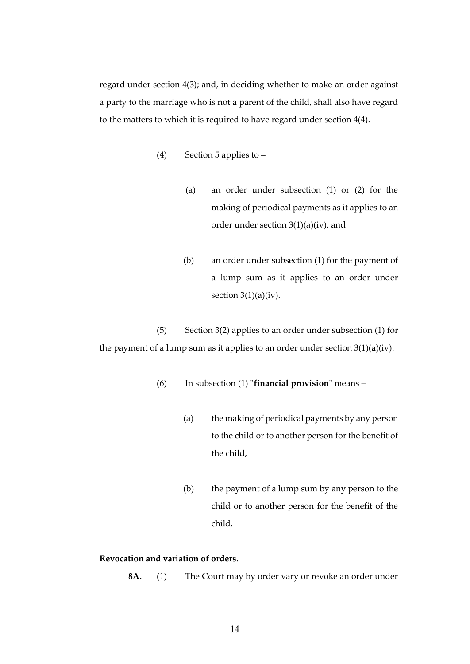regard under section 4(3); and, in deciding whether to make an order against a party to the marriage who is not a parent of the child, shall also have regard to the matters to which it is required to have regard under section 4(4).

- (4) Section 5 applies to
	- (a) an order under subsection (1) or (2) for the making of periodical payments as it applies to an order under section 3(1)(a)(iv), and
	- (b) an order under subsection (1) for the payment of a lump sum as it applies to an order under section  $3(1)(a)(iv)$ .

(5) Section 3(2) applies to an order under subsection (1) for the payment of a lump sum as it applies to an order under section  $3(1)(a)(iv)$ .

- (6) In subsection (1) "**financial provision**" means
	- (a) the making of periodical payments by any person to the child or to another person for the benefit of the child,
	- (b) the payment of a lump sum by any person to the child or to another person for the benefit of the child.

## **Revocation and variation of orders**.

**8A.** (1) The Court may by order vary or revoke an order under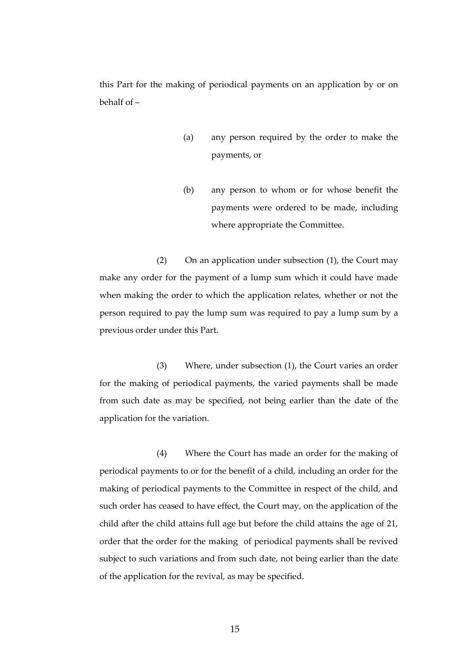this Part for the making of periodical payments on an application by or on behalf of –

- (a) any person required by the order to make the payments, or
- (b) any person to whom or for whose benefit the payments were ordered to be made, including where appropriate the Committee.

(2) On an application under subsection (1), the Court may make any order for the payment of a lump sum which it could have made when making the order to which the application relates, whether or not the person required to pay the lump sum was required to pay a lump sum by a previous order under this Part.

(3) Where, under subsection (1), the Court varies an order for the making of periodical payments, the varied payments shall be made from such date as may be specified, not being earlier than the date of the application for the variation.

(4) Where the Court has made an order for the making of periodical payments to or for the benefit of a child, including an order for the making of periodical payments to the Committee in respect of the child, and such order has ceased to have effect, the Court may, on the application of the child after the child attains full age but before the child attains the age of 21, order that the order for the making of periodical payments shall be revived subject to such variations and from such date, not being earlier than the date of the application for the revival, as may be specified.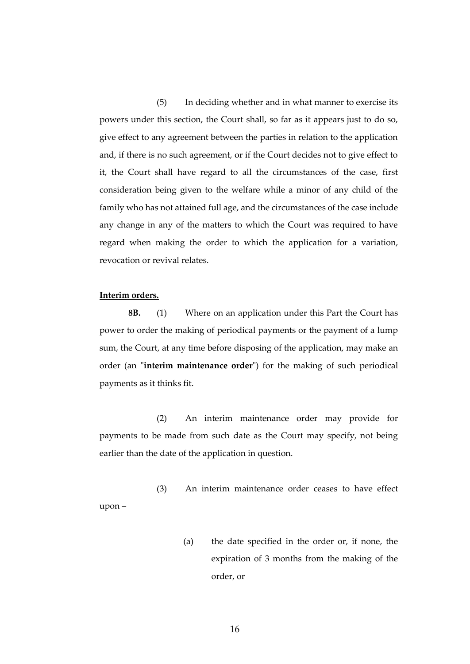(5) In deciding whether and in what manner to exercise its powers under this section, the Court shall, so far as it appears just to do so, give effect to any agreement between the parties in relation to the application and, if there is no such agreement, or if the Court decides not to give effect to it, the Court shall have regard to all the circumstances of the case, first consideration being given to the welfare while a minor of any child of the family who has not attained full age, and the circumstances of the case include any change in any of the matters to which the Court was required to have regard when making the order to which the application for a variation, revocation or revival relates.

## **Interim orders.**

**8B.** (1) Where on an application under this Part the Court has power to order the making of periodical payments or the payment of a lump sum, the Court, at any time before disposing of the application, may make an order (an "**interim maintenance order**") for the making of such periodical payments as it thinks fit.

(2) An interim maintenance order may provide for payments to be made from such date as the Court may specify, not being earlier than the date of the application in question.

(3) An interim maintenance order ceases to have effect upon –

> (a) the date specified in the order or, if none, the expiration of 3 months from the making of the order, or

> > 16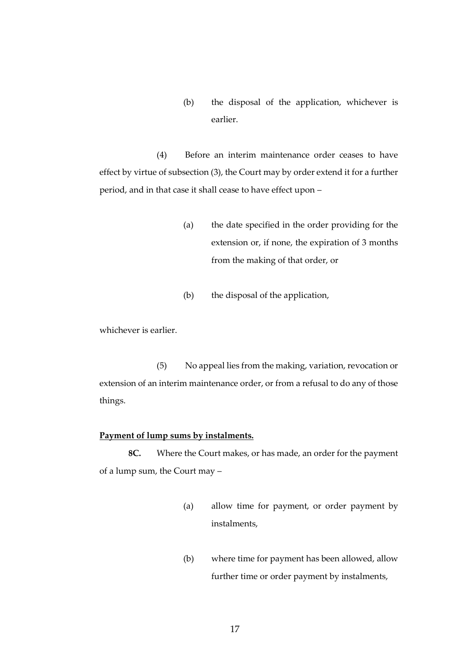(b) the disposal of the application, whichever is earlier.

(4) Before an interim maintenance order ceases to have effect by virtue of subsection (3), the Court may by order extend it for a further period, and in that case it shall cease to have effect upon –

- (a) the date specified in the order providing for the extension or, if none, the expiration of 3 months from the making of that order, or
- (b) the disposal of the application,

whichever is earlier.

(5) No appeal lies from the making, variation, revocation or extension of an interim maintenance order, or from a refusal to do any of those things.

#### **Payment of lump sums by instalments.**

**8C.** Where the Court makes, or has made, an order for the payment of a lump sum, the Court may –

- (a) allow time for payment, or order payment by instalments,
- (b) where time for payment has been allowed, allow further time or order payment by instalments,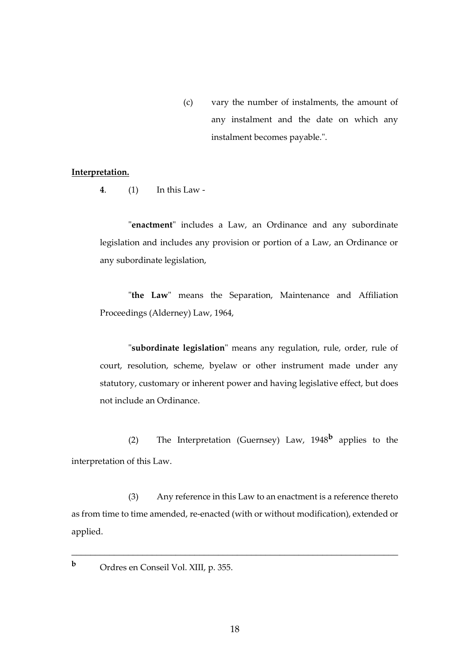(c) vary the number of instalments, the amount of any instalment and the date on which any instalment becomes payable.".

#### **Interpretation.**

**4**. (1) In this Law -

"**enactment**" includes a Law, an Ordinance and any subordinate legislation and includes any provision or portion of a Law, an Ordinance or any subordinate legislation,

"**the Law**" means the Separation, Maintenance and Affiliation Proceedings (Alderney) Law, 1964,

"**subordinate legislation**" means any regulation, rule, order, rule of court, resolution, scheme, byelaw or other instrument made under any statutory, customary or inherent power and having legislative effect, but does not include an Ordinance.

(2) The Interpretation (Guernsey) Law, 1948**<sup>b</sup>** applies to the interpretation of this Law.

(3) Any reference in this Law to an enactment is a reference thereto as from time to time amended, re-enacted (with or without modification), extended or applied.

\_\_\_\_\_\_\_\_\_\_\_\_\_\_\_\_\_\_\_\_\_\_\_\_\_\_\_\_\_\_\_\_\_\_\_\_\_\_\_\_\_\_\_\_\_\_\_\_\_\_\_\_\_\_\_\_\_\_\_\_\_\_\_\_\_\_\_\_\_

**<sup>b</sup>** Ordres en Conseil Vol. XIII, p. 355.